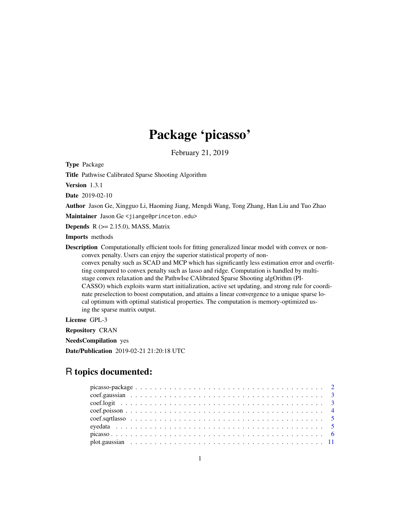## Package 'picasso'

February 21, 2019

Type Package

Title Pathwise Calibrated Sparse Shooting Algorithm

Version 1.3.1

Date 2019-02-10

Author Jason Ge, Xingguo Li, Haoming Jiang, Mengdi Wang, Tong Zhang, Han Liu and Tuo Zhao

Maintainer Jason Ge <jiange@princeton.edu>

**Depends**  $R$  ( $>= 2.15.0$ ), MASS, Matrix

Imports methods

Description Computationally efficient tools for fitting generalized linear model with convex or nonconvex penalty. Users can enjoy the superior statistical property of non-

convex penalty such as SCAD and MCP which has significantly less estimation error and overfitting compared to convex penalty such as lasso and ridge. Computation is handled by multistage convex relaxation and the PathwIse CAlibrated Sparse Shooting algOrithm (PI-CASSO) which exploits warm start initialization, active set updating, and strong rule for coordinate preselection to boost computation, and attains a linear convergence to a unique sparse local optimum with optimal statistical properties. The computation is memory-optimized using the sparse matrix output.

License GPL-3

Repository CRAN

NeedsCompilation yes

Date/Publication 2019-02-21 21:20:18 UTC

### R topics documented: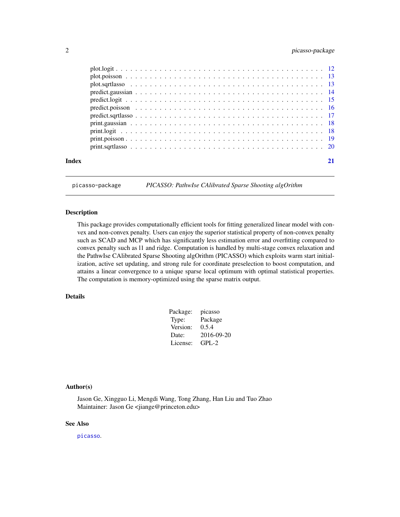#### <span id="page-1-0"></span>2 picasso-package

| Index |  |  |  |  |  |  |  |  |  |  |  |  |  |  |  |  |  |  |
|-------|--|--|--|--|--|--|--|--|--|--|--|--|--|--|--|--|--|--|

<span id="page-1-1"></span>picasso-package *PICASSO: PathwIse CAlibrated Sparse Shooting algOrithm*

#### Description

This package provides computationally efficient tools for fitting generalized linear model with convex and non-convex penalty. Users can enjoy the superior statistical property of non-convex penalty such as SCAD and MCP which has significantly less estimation error and overfitting compared to convex penalty such as l1 and ridge. Computation is handled by multi-stage convex relaxation and the PathwIse CAlibrated Sparse Shooting algOrithm (PICASSO) which exploits warm start initialization, active set updating, and strong rule for coordinate preselection to boost computation, and attains a linear convergence to a unique sparse local optimum with optimal statistical properties. The computation is memory-optimized using the sparse matrix output.

#### Details

| picasso    |
|------------|
| Package    |
| 0.5.4      |
| 2016-09-20 |
| $GPI - 2$  |
|            |

#### Author(s)

Jason Ge, Xingguo Li, Mengdi Wang, Tong Zhang, Han Liu and Tuo Zhao Maintainer: Jason Ge <jiange@princeton.edu>

#### See Also

[picasso](#page-5-1).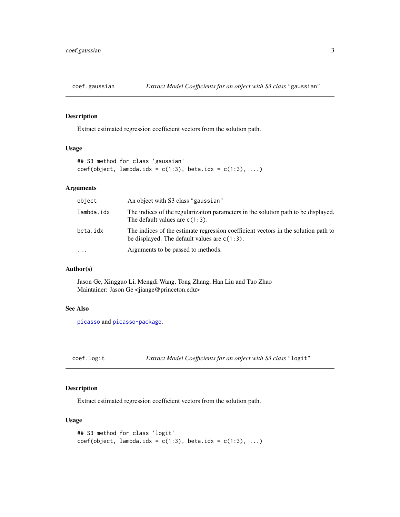<span id="page-2-0"></span>

Extract estimated regression coefficient vectors from the solution path.

#### Usage

```
## S3 method for class 'gaussian'
coef(object, lambda.idx = c(1:3), beta.idx = c(1:3), ...)
```
#### Arguments

| object     | An object with S3 class "gaussian"                                                                                                    |
|------------|---------------------------------------------------------------------------------------------------------------------------------------|
| lambda.idx | The indices of the regularization parameters in the solution path to be displayed.<br>The default values are $c(1:3)$ .               |
| beta.idx   | The indices of the estimate regression coefficient vectors in the solution path to<br>be displayed. The default values are $c(1:3)$ . |
| $\ddotsc$  | Arguments to be passed to methods.                                                                                                    |

#### Author(s)

Jason Ge, Xingguo Li, Mengdi Wang, Tong Zhang, Han Liu and Tuo Zhao Maintainer: Jason Ge <jiange@princeton.edu>

#### See Also

[picasso](#page-5-1) and [picasso-package](#page-1-1).

coef.logit *Extract Model Coefficients for an object with S3 class* "logit"

#### Description

Extract estimated regression coefficient vectors from the solution path.

#### Usage

```
## S3 method for class 'logit'
coef(object, lambda.idx = c(1:3), beta.idx = c(1:3), ...)
```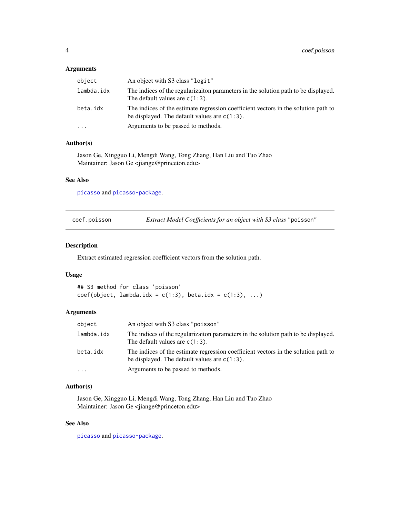#### <span id="page-3-0"></span>Arguments

| object     | An object with S3 class "logit"                                                                                                       |
|------------|---------------------------------------------------------------------------------------------------------------------------------------|
| lambda.idx | The indices of the regularization parameters in the solution path to be displayed.<br>The default values are $c(1:3)$ .               |
| beta.idx   | The indices of the estimate regression coefficient vectors in the solution path to<br>be displayed. The default values are $c(1:3)$ . |
| $\ddots$   | Arguments to be passed to methods.                                                                                                    |

#### Author(s)

Jason Ge, Xingguo Li, Mengdi Wang, Tong Zhang, Han Liu and Tuo Zhao Maintainer: Jason Ge <jiange@princeton.edu>

#### See Also

[picasso](#page-5-1) and [picasso-package](#page-1-1).

```
coef.poisson Extract Model Coefficients for an object with S3 class "poisson"
```
#### Description

Extract estimated regression coefficient vectors from the solution path.

#### Usage

```
## S3 method for class 'poisson'
coef(object, lambda.idx = c(1:3), beta.idx = c(1:3), ...)
```
#### Arguments

| object     | An object with S3 class "poisson"                                                                                                     |
|------------|---------------------------------------------------------------------------------------------------------------------------------------|
| lambda.idx | The indices of the regularization parameters in the solution path to be displayed.<br>The default values are $c(1:3)$ .               |
| beta.idx   | The indices of the estimate regression coefficient vectors in the solution path to<br>be displayed. The default values are $c(1:3)$ . |
| $\cdots$   | Arguments to be passed to methods.                                                                                                    |

#### Author(s)

Jason Ge, Xingguo Li, Mengdi Wang, Tong Zhang, Han Liu and Tuo Zhao Maintainer: Jason Ge <jiange@princeton.edu>

#### See Also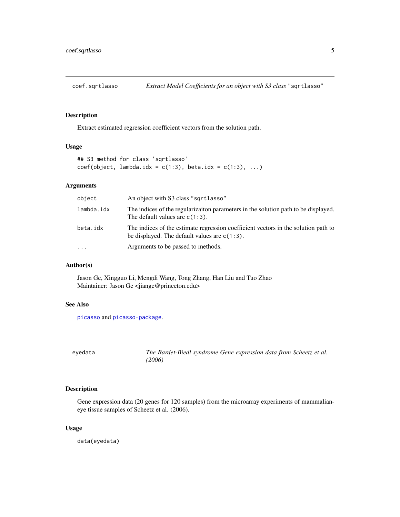<span id="page-4-0"></span>

Extract estimated regression coefficient vectors from the solution path.

#### Usage

```
## S3 method for class 'sqrtlasso'
coef(object, lambda.idx = c(1:3), beta.idx = c(1:3), ...)
```
#### Arguments

| object     | An object with S3 class "sqrtlasso"                                                                                                   |
|------------|---------------------------------------------------------------------------------------------------------------------------------------|
| lambda.idx | The indices of the regularization parameters in the solution path to be displayed.<br>The default values are $c(1:3)$ .               |
| beta.idx   | The indices of the estimate regression coefficient vectors in the solution path to<br>be displayed. The default values are $c(1:3)$ . |
| $\cdots$   | Arguments to be passed to methods.                                                                                                    |

#### Author(s)

Jason Ge, Xingguo Li, Mengdi Wang, Tong Zhang, Han Liu and Tuo Zhao Maintainer: Jason Ge <jiange@princeton.edu>

#### See Also

[picasso](#page-5-1) and [picasso-package](#page-1-1).

eyedata *The Bardet-Biedl syndrome Gene expression data from Scheetz et al. (2006)*

#### Description

Gene expression data (20 genes for 120 samples) from the microarray experiments of mammalianeye tissue samples of Scheetz et al. (2006).

#### Usage

data(eyedata)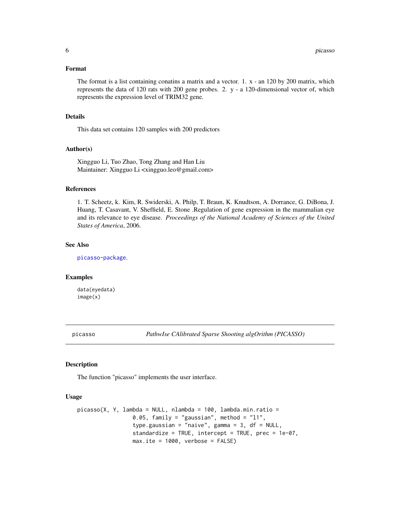#### <span id="page-5-0"></span>Format

The format is a list containing conatins a matrix and a vector. 1. x - an 120 by 200 matrix, which represents the data of 120 rats with 200 gene probes. 2. y - a 120-dimensional vector of, which represents the expression level of TRIM32 gene.

#### Details

This data set contains 120 samples with 200 predictors

#### Author(s)

Xingguo Li, Tuo Zhao, Tong Zhang and Han Liu Maintainer: Xingguo Li <xingguo.leo@gmail.com>

#### References

1. T. Scheetz, k. Kim, R. Swiderski, A. Philp, T. Braun, K. Knudtson, A. Dorrance, G. DiBona, J. Huang, T. Casavant, V. Sheffield, E. Stone .Regulation of gene expression in the mammalian eye and its relevance to eye disease. *Proceedings of the National Academy of Sciences of the United States of America*, 2006.

#### See Also

[picasso-package](#page-1-1).

#### Examples

data(eyedata) image(x)

<span id="page-5-1"></span>picasso *PathwIse CAlibrated Sparse Shooting algOrithm (PICASSO)*

#### Description

The function "picasso" implements the user interface.

#### Usage

```
picasso(X, Y, lambda = NULL, nlambda = 100, lambda.min.ratio =0.05, family = "gaussian", method = "11",
                 type.gaussian = "naive", gamma = 3, df = NULL,
                 standardize = TRUE, intercept = TRUE, prec = 1e-07,
                max.ite = 1000, verbose = FALSE)
```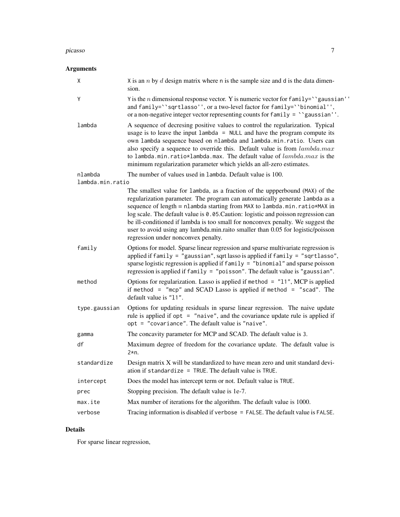#### picasso and the contract of the contract of the contract of the contract of the contract of the contract of the contract of the contract of the contract of the contract of the contract of the contract of the contract of th

### Arguments

| Χ                | X is an $n$ by $d$ design matrix where n is the sample size and d is the data dimen-<br>sion.                                                                                                                                                                                                                                                                                                                                                                                                                                                |
|------------------|----------------------------------------------------------------------------------------------------------------------------------------------------------------------------------------------------------------------------------------------------------------------------------------------------------------------------------------------------------------------------------------------------------------------------------------------------------------------------------------------------------------------------------------------|
| Y                | Y is the <i>n</i> dimensional response vector. Y is numeric vector for $family='$ 'gaussian''<br>and family="sqrtlasso", or a two-level factor for family="binomial",<br>or a non-negative integer vector representing counts for $family =$ "gaussian".                                                                                                                                                                                                                                                                                     |
| lambda           | A sequence of decresing positive values to control the regularization. Typical<br>usage is to leave the input $lambda = NULL$ and have the program compute its<br>own lambda sequence based on nlambda and lambda.min.ratio. Users can<br>also specify a sequence to override this. Default value is from lambda.max<br>to lambda.min.ratio*lambda.max. The default value of $lambda.max$ is the<br>minimum regularization parameter which yields an all-zero estimates.                                                                     |
| nlambda          | The number of values used in lambda. Default value is 100.                                                                                                                                                                                                                                                                                                                                                                                                                                                                                   |
| lambda.min.ratio |                                                                                                                                                                                                                                                                                                                                                                                                                                                                                                                                              |
|                  | The smallest value for lambda, as a fraction of the uppperbound (MAX) of the<br>regularization parameter. The program can automatically generate lambda as a<br>sequence of length = nlambda starting from MAX to lambda.min.ratio*MAX in<br>log scale. The default value is 0.05. Caution: logistic and poisson regression can<br>be ill-conditioned if lambda is too small for nonconvex penalty. We suggest the<br>user to avoid using any lambda.min.raito smaller than 0.05 for logistic/poisson<br>regression under nonconvex penalty. |
| family           | Options for model. Sparse linear regression and sparse multivariate regression is<br>applied if family = "gaussian", sqrt lasso is applied if family = "sqrtlasso",<br>sparse logistic regression is applied if family = "binomial" and sparse poisson<br>regression is applied if family = "poisson". The default value is "gaussian".                                                                                                                                                                                                      |
| method           | Options for regularization. Lasso is applied if method = $"11", MCP$ is applied<br>if method = "mcp" and SCAD Lasso is applied if method = "scad". The<br>default value is "11".                                                                                                                                                                                                                                                                                                                                                             |
| type.gaussian    | Options for updating residuals in sparse linear regression. The naive update<br>rule is applied if $opt = "naive",$ and the covariance update rule is applied if<br>opt = "covariance". The default value is "naive".                                                                                                                                                                                                                                                                                                                        |
| gamma            | The concavity parameter for MCP and SCAD. The default value is 3.                                                                                                                                                                                                                                                                                                                                                                                                                                                                            |
| df               | Maximum degree of freedom for the covariance update. The default value is<br>$2*n.$                                                                                                                                                                                                                                                                                                                                                                                                                                                          |
| standardize      | Design matrix X will be standardized to have mean zero and unit standard devi-<br>ation if standardize = $TRUE$ . The default value is TRUE.                                                                                                                                                                                                                                                                                                                                                                                                 |
| intercept        | Does the model has intercept term or not. Default value is TRUE.                                                                                                                                                                                                                                                                                                                                                                                                                                                                             |
| prec             | Stopping precision. The default value is 1e-7.                                                                                                                                                                                                                                                                                                                                                                                                                                                                                               |
| max.ite          | Max number of iterations for the algorithm. The default value is 1000.                                                                                                                                                                                                                                                                                                                                                                                                                                                                       |
| verbose          | Tracing information is disabled if verbose = FALSE. The default value is FALSE.                                                                                                                                                                                                                                                                                                                                                                                                                                                              |

### Details

For sparse linear regression,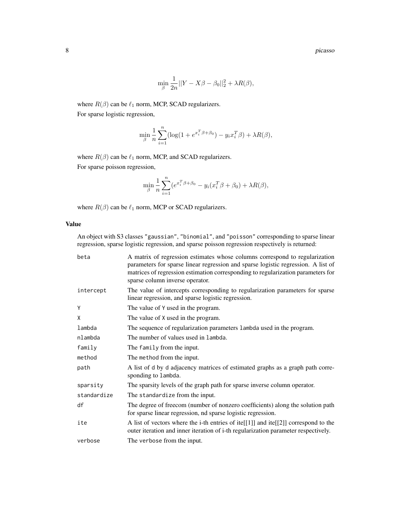8 picasso and the set of the set of the set of the set of the set of the set of the set of the set of the set of the set of the set of the set of the set of the set of the set of the set of the set of the set of the set of

$$
\min_{\beta} \frac{1}{2n} ||Y - X\beta - \beta_0||_2^2 + \lambda R(\beta),
$$

where  $R(\beta)$  can be  $\ell_1$  norm, MCP, SCAD regularizers.

For sparse logistic regression,

$$
\min_{\beta} \frac{1}{n} \sum_{i=1}^{n} (\log(1 + e^{x_i^T \beta + \beta_0}) - y_i x_i^T \beta) + \lambda R(\beta),
$$

where  $R(\beta)$  can be  $\ell_1$  norm, MCP, and SCAD regularizers.

For sparse poisson regression,

$$
\min_{\beta} \frac{1}{n} \sum_{i=1}^{n} (e^{x_i^T \beta + \beta_0} - y_i(x_i^T \beta + \beta_0) + \lambda R(\beta),
$$

where  $R(\beta)$  can be  $\ell_1$  norm, MCP or SCAD regularizers.

#### Value

An object with S3 classes "gaussian", "binomial", and "poisson" corresponding to sparse linear regression, sparse logistic regression, and sparse poisson regression respectively is returned:

| beta        | A matrix of regression estimates whose columns correspond to regularization<br>parameters for sparse linear regression and sparse logistic regression. A list of<br>matrices of regression estimation corresponding to regularization parameters for<br>sparse column inverse operator. |
|-------------|-----------------------------------------------------------------------------------------------------------------------------------------------------------------------------------------------------------------------------------------------------------------------------------------|
| intercept   | The value of intercepts corresponding to regularization parameters for sparse<br>linear regression, and sparse logistic regression.                                                                                                                                                     |
| Y           | The value of Y used in the program.                                                                                                                                                                                                                                                     |
| X           | The value of X used in the program.                                                                                                                                                                                                                                                     |
| lambda      | The sequence of regularization parameters lambda used in the program.                                                                                                                                                                                                                   |
| nlambda     | The number of values used in lambda.                                                                                                                                                                                                                                                    |
| family      | The family from the input.                                                                                                                                                                                                                                                              |
| method      | The method from the input.                                                                                                                                                                                                                                                              |
| path        | A list of d by d adjacency matrices of estimated graphs as a graph path corre-<br>sponding to lambda.                                                                                                                                                                                   |
| sparsity    | The sparsity levels of the graph path for sparse inverse column operator.                                                                                                                                                                                                               |
| standardize | The standardize from the input.                                                                                                                                                                                                                                                         |
| df          | The degree of freecom (number of nonzero coefficients) along the solution path<br>for sparse linear regression, nd sparse logistic regression.                                                                                                                                          |
| ite         | A list of vectors where the i-th entries of ite[[1]] and ite[[2]] correspond to the<br>outer iteration and inner iteration of i-th regularization parameter respectively.                                                                                                               |
| verbose     | The verbose from the input.                                                                                                                                                                                                                                                             |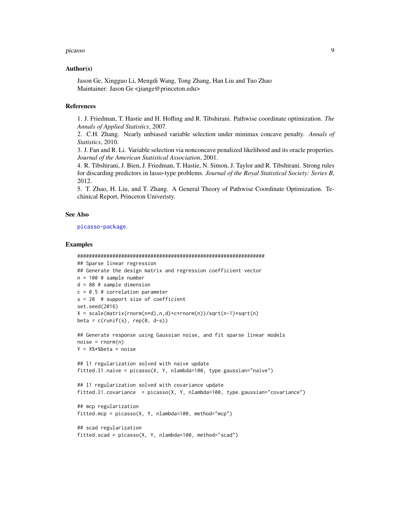#### picasso 9

#### Author(s)

Jason Ge, Xingguo Li, Mengdi Wang, Tong Zhang, Han Liu and Tuo Zhao Maintainer: Jason Ge <jiange@princeton.edu>

#### References

1. J. Friedman, T. Hastie and H. Hofling and R. Tibshirani. Pathwise coordinate optimization. *The Annals of Applied Statistics*, 2007.

2. C.H. Zhang. Nearly unbiased variable selection under minimax concave penalty. *Annals of Statistics*, 2010.

3. J. Fan and R. Li. Variable selection via nonconcave penalized likelihood and its oracle properties. *Journal of the American Statistical Association*, 2001.

4. R. Tibshirani, J. Bien, J. Friedman, T. Hastie, N. Simon, J. Taylor and R. Tibshirani. Strong rules for discarding predictors in lasso-type problems. *Journal of the Royal Statistical Society: Series B*, 2012.

5. T. Zhao, H. Liu, and T. Zhang. A General Theory of Pathwise Coordinate Optimization. Techinical Report, Princeton Univeristy.

#### See Also

[picasso-package](#page-1-1).

#### Examples

```
################################################################
## Sparse linear regression
## Generate the design matrix and regression coefficient vector
n = 100 # sample number
d = 80 # sample dimension
c = 0.5 # correlation parameter
s = 20 # support size of coefficient
set.seed(2016)
X = scale(matrix(rnorm(n*d), n, d) + c*rnorm(n)) / sqrt(n-1)*sqrt(n)beta = c(runif(s), rep(0, d-s))## Generate response using Gaussian noise, and fit sparse linear models
noise = rnorm(n)Y = X%*%beta + noise
## l1 regularization solved with naive update
fitted.l1.naive = picasso(X, Y, nlambda=100, type.gaussian="naive")
## l1 regularization solved with covariance update
fitted.l1.covariance = picasso(X, Y, nlambda=100, type.gaussian="covariance")
## mcp regularization
fitted.mcp = picasso(X, Y, nlambda=100, method="mcp")
## scad regularization
fitted.scad = picasso(X, Y, nlambda=100, method="scad")
```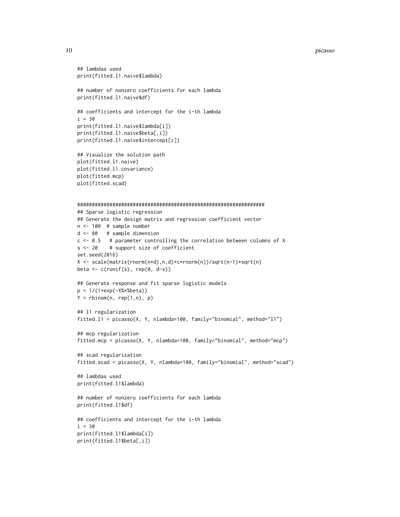#### 10 picasso provide the contract of the contract of the contract of the picasso picasso provide the contract of the contract of the contract of the contract of the contract of the contract of the contract of the contract of

```
## lambdas used
print(fitted.l1.naive$lambda)
## number of nonzero coefficients for each lambda
print(fitted.l1.naive$df)
## coefficients and intercept for the i-th lambda
i = 30print(fitted.l1.naive$lambda[i])
print(fitted.l1.naive$beta[,i])
print(fitted.l1.naive$intercept[i])
## Visualize the solution path
plot(fitted.l1.naive)
plot(fitted.l1.covariance)
plot(fitted.mcp)
plot(fitted.scad)
################################################################
## Sparse logistic regression
## Generate the design matrix and regression coefficient vector
n <- 100 # sample number
d <- 80 # sample dimension
c <- 0.5 # parameter controlling the correlation between columns of X
s <- 20 # support size of coefficient
set.seed(2016)
X <- scale(matrix(rnorm(n*d),n,d)+c*rnorm(n))/sqrt(n-1)*sqrt(n)
beta <- c(runif(s), rep(0, d-s))
## Generate response and fit sparse logistic models
p = 1/(1+exp(-X%*%beta))
Y = \text{rbinom}(n, \text{rep}(1, n), p)## l1 regularization
fitted.l1 = picasso(X, Y, nlambda=100, family="binomial", method="l1")
## mcp regularization
fitted.mcp = picasso(X, Y, nlambda=100, family="binomial", method="mcp")
## scad regularization
fitted.scad = picasso(X, Y, nlambda=100, family="binomial", method="scad")
## lambdas used
print(fitted.l1$lambda)
## number of nonzero coefficients for each lambda
print(fitted.l1$df)
## coefficients and intercept for the i-th lambda
i = 30print(fitted.l1$lambda[i])
print(fitted.l1$beta[,i])
```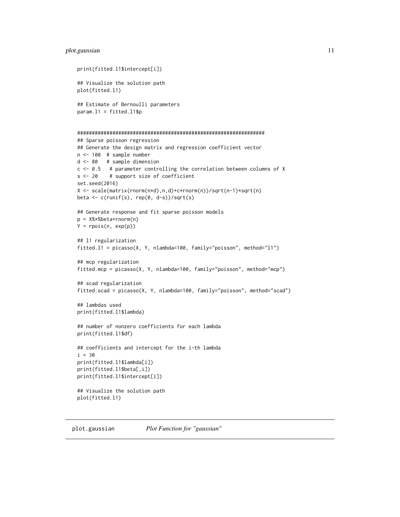#### <span id="page-10-0"></span>plot.gaussian 11

```
print(fitted.l1$intercept[i])
## Visualize the solution path
plot(fitted.l1)
## Estimate of Bernoulli parameters
param.11 = fitted.11$p
################################################################
## Sparse poisson regression
## Generate the design matrix and regression coefficient vector
n <- 100 # sample number
d <- 80 # sample dimension
c <- 0.5 # parameter controlling the correlation between columns of X
s <- 20 # support size of coefficient
set.seed(2016)
X <- scale(matrix(rnorm(n*d),n,d)+c*rnorm(n))/sqrt(n-1)*sqrt(n)
beta <- c(runif(s), rep(0, d-s))/sqrt(s)
## Generate response and fit sparse poisson models
p = X%*%beta+rnorm(n)
Y = rpois(n, exp(p))
## l1 regularization
fitted.l1 = picasso(X, Y, nlambda=100, family="poisson", method="l1")
## mcp regularization
fitted.mcp = picasso(X, Y, nlambda=100, family="poisson", method="mcp")
## scad regularization
fitted.scad = picasso(X, Y, nlambda=100, family="poisson", method="scad")
## lambdas used
print(fitted.l1$lambda)
## number of nonzero coefficients for each lambda
print(fitted.l1$df)
## coefficients and intercept for the i-th lambda
i = 30
print(fitted.l1$lambda[i])
print(fitted.l1$beta[,i])
print(fitted.l1$intercept[i])
## Visualize the solution path
plot(fitted.l1)
```
plot.gaussian *Plot Function for "gaussian"*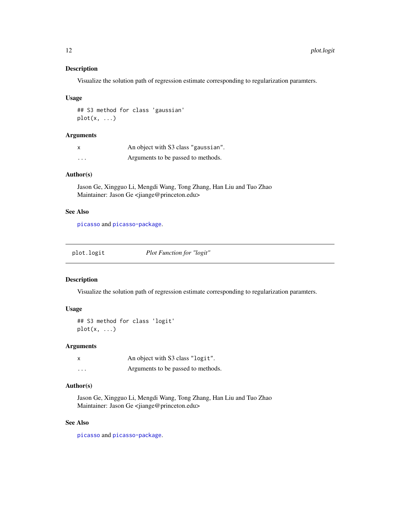Visualize the solution path of regression estimate corresponding to regularization paramters.

#### Usage

## S3 method for class 'gaussian'  $plot(x, \ldots)$ 

#### Arguments

| x                       | An object with S3 class "gaussian". |
|-------------------------|-------------------------------------|
| $\cdot$ $\cdot$ $\cdot$ | Arguments to be passed to methods.  |

#### Author(s)

Jason Ge, Xingguo Li, Mengdi Wang, Tong Zhang, Han Liu and Tuo Zhao Maintainer: Jason Ge <jiange@princeton.edu>

#### See Also

[picasso](#page-5-1) and [picasso-package](#page-1-1).

|  | plot.logit | <b>Plot Function for "logit"</b> |
|--|------------|----------------------------------|
|--|------------|----------------------------------|

#### Description

Visualize the solution path of regression estimate corresponding to regularization paramters.

#### Usage

```
## S3 method for class 'logit'
plot(x, \ldots)
```
#### Arguments

| $\boldsymbol{\mathsf{x}}$ | An object with S3 class "logit".   |
|---------------------------|------------------------------------|
| .                         | Arguments to be passed to methods. |

#### Author(s)

Jason Ge, Xingguo Li, Mengdi Wang, Tong Zhang, Han Liu and Tuo Zhao Maintainer: Jason Ge <jiange@princeton.edu>

#### See Also

<span id="page-11-0"></span>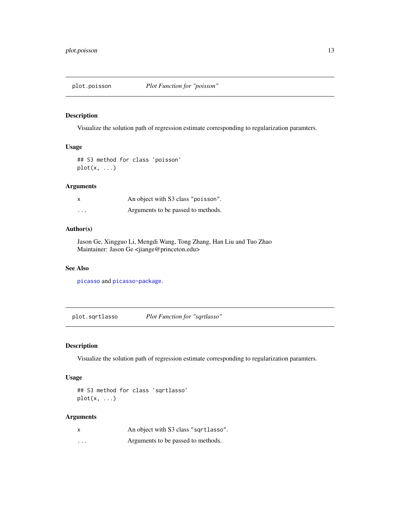<span id="page-12-0"></span>

Visualize the solution path of regression estimate corresponding to regularization paramters.

#### Usage

## S3 method for class 'poisson'  $plot(x, \ldots)$ 

#### Arguments

| X        | An object with S3 class "poisson". |
|----------|------------------------------------|
| $\cdots$ | Arguments to be passed to methods. |

#### Author(s)

Jason Ge, Xingguo Li, Mengdi Wang, Tong Zhang, Han Liu and Tuo Zhao Maintainer: Jason Ge <jiange@princeton.edu>

#### See Also

[picasso](#page-5-1) and [picasso-package](#page-1-1).

plot.sqrtlasso *Plot Function for "sqrtlasso"*

#### Description

Visualize the solution path of regression estimate corresponding to regularization paramters.

#### Usage

```
## S3 method for class 'sqrtlasso'
plot(x, \ldots)
```
#### Arguments

| X        | An object with S3 class "sqrtlasso". |
|----------|--------------------------------------|
| $\cdots$ | Arguments to be passed to methods.   |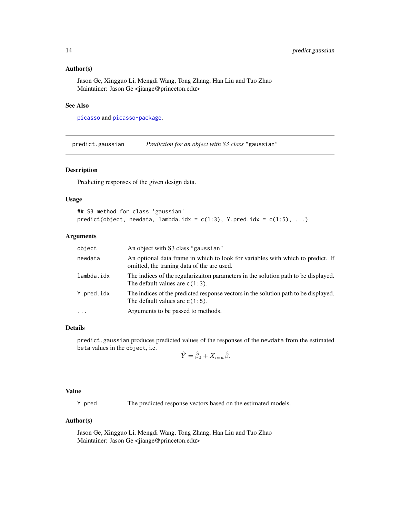#### <span id="page-13-0"></span>Author(s)

Jason Ge, Xingguo Li, Mengdi Wang, Tong Zhang, Han Liu and Tuo Zhao Maintainer: Jason Ge <jiange@princeton.edu>

#### See Also

[picasso](#page-5-1) and [picasso-package](#page-1-1).

predict.gaussian *Prediction for an object with S3 class* "gaussian"

#### Description

Predicting responses of the given design data.

#### Usage

```
## S3 method for class 'gaussian'
predict(object, newdata, lambda.idx = c(1:3), Y.pred.idx = c(1:5), ...)
```
#### Arguments

| object     | An object with S3 class "gaussian"                                                                                            |
|------------|-------------------------------------------------------------------------------------------------------------------------------|
| newdata    | An optional data frame in which to look for variables with which to predict. If<br>omitted, the traning data of the are used. |
| lambda.idx | The indices of the regularizaiton parameters in the solution path to be displayed.<br>The default values are $c(1:3)$ .       |
| Y.pred.idx | The indices of the predicted response vectors in the solution path to be displayed.<br>The default values are $c(1:5)$ .      |
| $\cdot$    | Arguments to be passed to methods.                                                                                            |

#### Details

predict.gaussian produces predicted values of the responses of the newdata from the estimated beta values in the object, i.e.

$$
\hat{Y} = \hat{\beta}_0 + X_{new} \hat{\beta}.
$$

#### Value

Y.pred The predicted response vectors based on the estimated models.

#### Author(s)

Jason Ge, Xingguo Li, Mengdi Wang, Tong Zhang, Han Liu and Tuo Zhao Maintainer: Jason Ge <jiange@princeton.edu>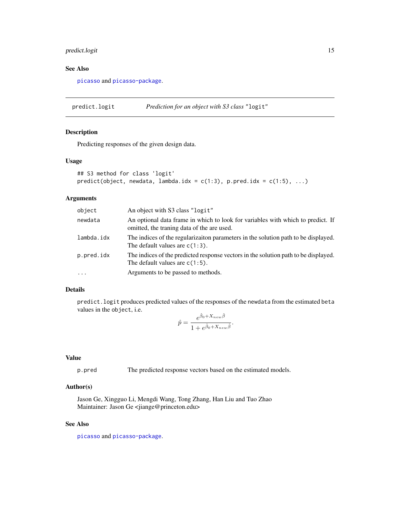#### <span id="page-14-0"></span>predict.logit 15

#### See Also

[picasso](#page-5-1) and [picasso-package](#page-1-1).

predict.logit *Prediction for an object with S3 class* "logit"

#### Description

Predicting responses of the given design data.

#### Usage

```
## S3 method for class 'logit'
predict(object, newdata, lambda.idx = c(1:3), p.pred.idx = c(1:5), ...)
```
#### Arguments

| object     | An object with S3 class "logit"                                                                                               |
|------------|-------------------------------------------------------------------------------------------------------------------------------|
| newdata    | An optional data frame in which to look for variables with which to predict. If<br>omitted, the traning data of the are used. |
| lambda.idx | The indices of the regularizaiton parameters in the solution path to be displayed.<br>The default values are $c(1:3)$ .       |
| p.pred.idx | The indices of the predicted response vectors in the solution path to be displayed.<br>The default values are $c(1:5)$ .      |
| $\ddotsc$  | Arguments to be passed to methods.                                                                                            |

#### Details

predict.logit produces predicted values of the responses of the newdata from the estimated beta values in the object, i.e.

$$
\hat{p} = \frac{e^{\hat{\beta}_0 + X_{new}\hat{\beta}}}{1 + e^{\hat{\beta}_0 + X_{new}\hat{\beta}}}.
$$

#### Value

p.pred The predicted response vectors based on the estimated models.

#### Author(s)

Jason Ge, Xingguo Li, Mengdi Wang, Tong Zhang, Han Liu and Tuo Zhao Maintainer: Jason Ge <jiange@princeton.edu>

#### See Also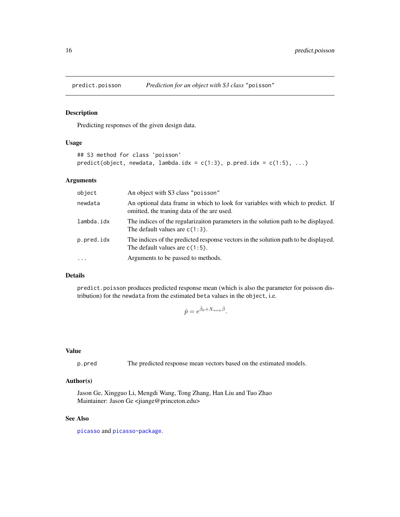<span id="page-15-0"></span>

Predicting responses of the given design data.

#### Usage

```
## S3 method for class 'poisson'
predict(object, newdata, lambda.idx = c(1:3), p.pred.idx = c(1:5), ...)
```
#### Arguments

| object     | An object with S3 class "poisson"                                                                                             |
|------------|-------------------------------------------------------------------------------------------------------------------------------|
| newdata    | An optional data frame in which to look for variables with which to predict. If<br>omitted, the traning data of the are used. |
| lambda.idx | The indices of the regularization parameters in the solution path to be displayed.<br>The default values are $c(1:3)$ .       |
| p.pred.idx | The indices of the predicted response vectors in the solution path to be displayed.<br>The default values are $c(1:5)$ .      |
| $\cdots$   | Arguments to be passed to methods.                                                                                            |

#### Details

predict.poisson produces predicted response mean (which is also the parameter for poisson distribution) for the newdata from the estimated beta values in the object, i.e.

$$
\hat{p} = e^{\hat{\beta}_0 + X_{new}\hat{\beta}}.
$$

#### Value

p.pred The predicted response mean vectors based on the estimated models.

#### Author(s)

Jason Ge, Xingguo Li, Mengdi Wang, Tong Zhang, Han Liu and Tuo Zhao Maintainer: Jason Ge <jiange@princeton.edu>

#### See Also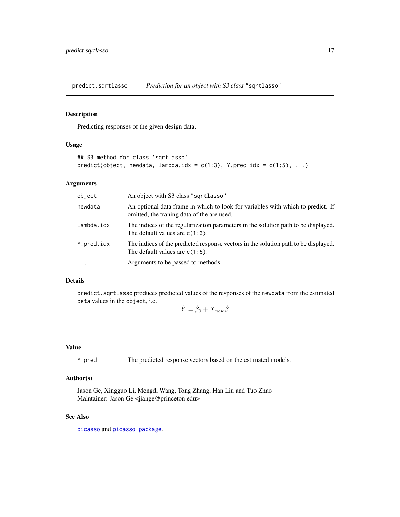<span id="page-16-0"></span>predict.sqrtlasso *Prediction for an object with S3 class* "sqrtlasso"

#### Description

Predicting responses of the given design data.

#### Usage

```
## S3 method for class 'sqrtlasso'
predict(object, newdata, lambda.idx = c(1:3), Y.pred.idx = c(1:5), ...)
```
#### Arguments

| object     | An object with S3 class "sqrtlasso"                                                                                           |
|------------|-------------------------------------------------------------------------------------------------------------------------------|
| newdata    | An optional data frame in which to look for variables with which to predict. If<br>omitted, the traning data of the are used. |
| lambda.idx | The indices of the regularization parameters in the solution path to be displayed.<br>The default values are $c(1:3)$ .       |
| Y.pred.idx | The indices of the predicted response vectors in the solution path to be displayed.<br>The default values are $c(1:5)$ .      |
| $\cdots$   | Arguments to be passed to methods.                                                                                            |

#### Details

predict.sqrtlasso produces predicted values of the responses of the newdata from the estimated beta values in the object, i.e.

$$
\hat{Y} = \hat{\beta}_0 + X_{new} \hat{\beta}.
$$

#### Value

Y.pred The predicted response vectors based on the estimated models.

#### Author(s)

Jason Ge, Xingguo Li, Mengdi Wang, Tong Zhang, Han Liu and Tuo Zhao Maintainer: Jason Ge <jiange@princeton.edu>

#### See Also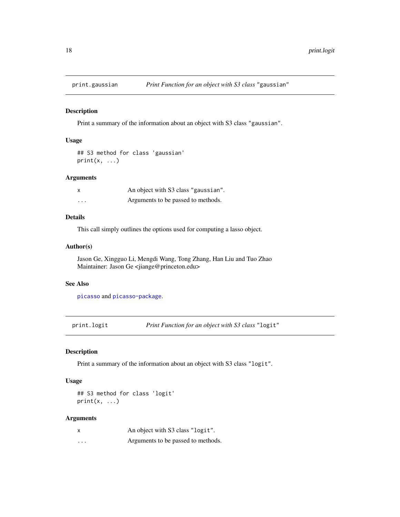<span id="page-17-0"></span>

Print a summary of the information about an object with S3 class "gaussian".

#### Usage

```
## S3 method for class 'gaussian'
print(x, \ldots)
```
#### Arguments

|          | An object with S3 class "gaussian". |
|----------|-------------------------------------|
| $\cdots$ | Arguments to be passed to methods.  |

#### Details

This call simply outlines the options used for computing a lasso object.

#### Author(s)

Jason Ge, Xingguo Li, Mengdi Wang, Tong Zhang, Han Liu and Tuo Zhao Maintainer: Jason Ge <jiange@princeton.edu>

#### See Also

[picasso](#page-5-1) and [picasso-package](#page-1-1).

print.logit *Print Function for an object with S3 class* "logit"

#### Description

Print a summary of the information about an object with S3 class "logit".

#### Usage

## S3 method for class 'logit'  $print(x, \ldots)$ 

#### Arguments

| $\boldsymbol{\mathsf{x}}$ | An object with S3 class "logit".   |
|---------------------------|------------------------------------|
| .                         | Arguments to be passed to methods. |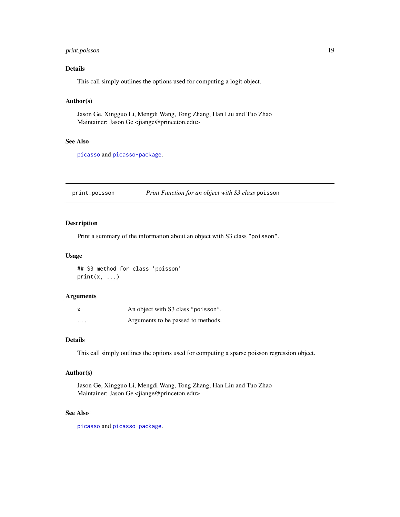#### <span id="page-18-0"></span>print.poisson 19

#### Details

This call simply outlines the options used for computing a logit object.

#### Author(s)

Jason Ge, Xingguo Li, Mengdi Wang, Tong Zhang, Han Liu and Tuo Zhao Maintainer: Jason Ge <jiange@princeton.edu>

#### See Also

[picasso](#page-5-1) and [picasso-package](#page-1-1).

print.poisson *Print Function for an object with S3 class* poisson

#### Description

Print a summary of the information about an object with S3 class "poisson".

#### Usage

## S3 method for class 'poisson'  $print(x, \ldots)$ 

#### Arguments

|                         | An object with S3 class "poisson". |
|-------------------------|------------------------------------|
| $\cdot$ $\cdot$ $\cdot$ | Arguments to be passed to methods. |

#### Details

This call simply outlines the options used for computing a sparse poisson regression object.

#### Author(s)

Jason Ge, Xingguo Li, Mengdi Wang, Tong Zhang, Han Liu and Tuo Zhao Maintainer: Jason Ge <jiange@princeton.edu>

#### See Also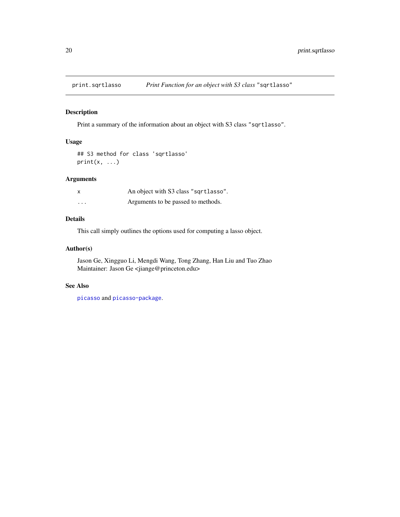<span id="page-19-0"></span>

Print a summary of the information about an object with S3 class "sqrtlasso".

#### Usage

```
## S3 method for class 'sqrtlasso'
print(x, \ldots)
```
#### Arguments

| X        | An object with S3 class "sqrtlasso". |
|----------|--------------------------------------|
| $\cdots$ | Arguments to be passed to methods.   |

### Details

This call simply outlines the options used for computing a lasso object.

#### Author(s)

Jason Ge, Xingguo Li, Mengdi Wang, Tong Zhang, Han Liu and Tuo Zhao Maintainer: Jason Ge <jiange@princeton.edu>

#### See Also